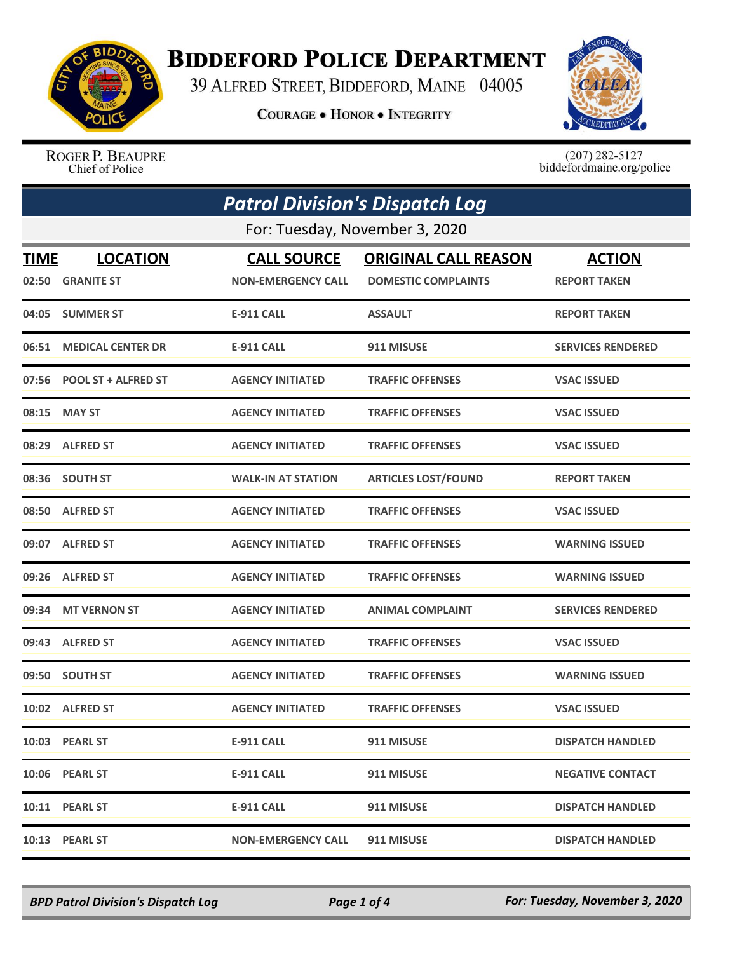

## **BIDDEFORD POLICE DEPARTMENT**

39 ALFRED STREET, BIDDEFORD, MAINE 04005

**COURAGE . HONOR . INTEGRITY** 



ROGER P. BEAUPRE Chief of Police

 $(207)$  282-5127 biddefordmaine.org/police

| <b>Patrol Division's Dispatch Log</b> |                                |                           |                             |                          |  |
|---------------------------------------|--------------------------------|---------------------------|-----------------------------|--------------------------|--|
|                                       | For: Tuesday, November 3, 2020 |                           |                             |                          |  |
| <b>TIME</b>                           | <b>LOCATION</b>                | <b>CALL SOURCE</b>        | <b>ORIGINAL CALL REASON</b> | <b>ACTION</b>            |  |
|                                       | 02:50 GRANITE ST               | <b>NON-EMERGENCY CALL</b> | <b>DOMESTIC COMPLAINTS</b>  | <b>REPORT TAKEN</b>      |  |
|                                       | 04:05 SUMMER ST                | <b>E-911 CALL</b>         | <b>ASSAULT</b>              | <b>REPORT TAKEN</b>      |  |
| 06:51                                 | <b>MEDICAL CENTER DR</b>       | <b>E-911 CALL</b>         | 911 MISUSE                  | <b>SERVICES RENDERED</b> |  |
|                                       | 07:56 POOL ST + ALFRED ST      | <b>AGENCY INITIATED</b>   | <b>TRAFFIC OFFENSES</b>     | <b>VSAC ISSUED</b>       |  |
| 08:15                                 | <b>MAY ST</b>                  | <b>AGENCY INITIATED</b>   | <b>TRAFFIC OFFENSES</b>     | <b>VSAC ISSUED</b>       |  |
|                                       | 08:29 ALFRED ST                | <b>AGENCY INITIATED</b>   | <b>TRAFFIC OFFENSES</b>     | <b>VSAC ISSUED</b>       |  |
|                                       | 08:36 SOUTH ST                 | <b>WALK-IN AT STATION</b> | <b>ARTICLES LOST/FOUND</b>  | <b>REPORT TAKEN</b>      |  |
|                                       | 08:50 ALFRED ST                | <b>AGENCY INITIATED</b>   | <b>TRAFFIC OFFENSES</b>     | <b>VSAC ISSUED</b>       |  |
|                                       | 09:07 ALFRED ST                | <b>AGENCY INITIATED</b>   | <b>TRAFFIC OFFENSES</b>     | <b>WARNING ISSUED</b>    |  |
| 09:26                                 | <b>ALFRED ST</b>               | <b>AGENCY INITIATED</b>   | <b>TRAFFIC OFFENSES</b>     | <b>WARNING ISSUED</b>    |  |
|                                       | 09:34 MT VERNON ST             | <b>AGENCY INITIATED</b>   | <b>ANIMAL COMPLAINT</b>     | <b>SERVICES RENDERED</b> |  |
|                                       | 09:43 ALFRED ST                | <b>AGENCY INITIATED</b>   | <b>TRAFFIC OFFENSES</b>     | <b>VSAC ISSUED</b>       |  |
|                                       | 09:50 SOUTH ST                 | <b>AGENCY INITIATED</b>   | <b>TRAFFIC OFFENSES</b>     | <b>WARNING ISSUED</b>    |  |
| 10:02                                 | <b>ALFRED ST</b>               | <b>AGENCY INITIATED</b>   | <b>TRAFFIC OFFENSES</b>     | <b>VSAC ISSUED</b>       |  |
|                                       | 10:03 PEARL ST                 | <b>E-911 CALL</b>         | 911 MISUSE                  | <b>DISPATCH HANDLED</b>  |  |
|                                       | 10:06 PEARL ST                 | <b>E-911 CALL</b>         | 911 MISUSE                  | <b>NEGATIVE CONTACT</b>  |  |
|                                       | 10:11 PEARL ST                 | <b>E-911 CALL</b>         | 911 MISUSE                  | <b>DISPATCH HANDLED</b>  |  |
|                                       | 10:13 PEARL ST                 | <b>NON-EMERGENCY CALL</b> | 911 MISUSE                  | <b>DISPATCH HANDLED</b>  |  |

*BPD Patrol Division's Dispatch Log Page 1 of 4 For: Tuesday, November 3, 2020*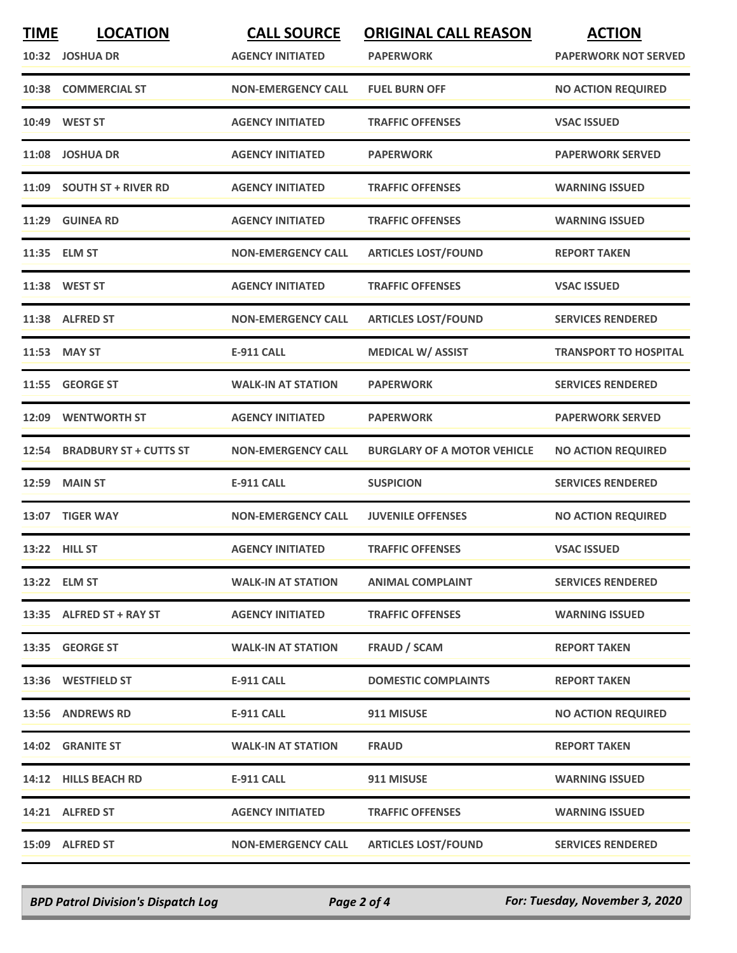| <b>TIME</b> | <b>LOCATION</b>               | <b>CALL SOURCE</b>        | <b>ORIGINAL CALL REASON</b>        | <b>ACTION</b>                |
|-------------|-------------------------------|---------------------------|------------------------------------|------------------------------|
| 10:32       | <b>JOSHUA DR</b>              | <b>AGENCY INITIATED</b>   | <b>PAPERWORK</b>                   | <b>PAPERWORK NOT SERVED</b>  |
| 10:38       | <b>COMMERCIAL ST</b>          | <b>NON-EMERGENCY CALL</b> | <b>FUEL BURN OFF</b>               | <b>NO ACTION REQUIRED</b>    |
|             | 10:49 WEST ST                 | <b>AGENCY INITIATED</b>   | <b>TRAFFIC OFFENSES</b>            | <b>VSAC ISSUED</b>           |
| 11:08       | <b>JOSHUA DR</b>              | <b>AGENCY INITIATED</b>   | <b>PAPERWORK</b>                   | <b>PAPERWORK SERVED</b>      |
|             | 11:09 SOUTH ST + RIVER RD     | <b>AGENCY INITIATED</b>   | <b>TRAFFIC OFFENSES</b>            | <b>WARNING ISSUED</b>        |
|             | 11:29 GUINEA RD               | <b>AGENCY INITIATED</b>   | <b>TRAFFIC OFFENSES</b>            | <b>WARNING ISSUED</b>        |
|             | 11:35 ELM ST                  | <b>NON-EMERGENCY CALL</b> | <b>ARTICLES LOST/FOUND</b>         | <b>REPORT TAKEN</b>          |
|             | 11:38 WEST ST                 | <b>AGENCY INITIATED</b>   | <b>TRAFFIC OFFENSES</b>            | <b>VSAC ISSUED</b>           |
|             | 11:38 ALFRED ST               | <b>NON-EMERGENCY CALL</b> | <b>ARTICLES LOST/FOUND</b>         | <b>SERVICES RENDERED</b>     |
| 11:53       | <b>MAY ST</b>                 | E-911 CALL                | <b>MEDICAL W/ ASSIST</b>           | <b>TRANSPORT TO HOSPITAL</b> |
| 11:55       | <b>GEORGE ST</b>              | <b>WALK-IN AT STATION</b> | <b>PAPERWORK</b>                   | <b>SERVICES RENDERED</b>     |
| 12:09       | <b>WENTWORTH ST</b>           | <b>AGENCY INITIATED</b>   | <b>PAPERWORK</b>                   | <b>PAPERWORK SERVED</b>      |
| 12:54       | <b>BRADBURY ST + CUTTS ST</b> | <b>NON-EMERGENCY CALL</b> | <b>BURGLARY OF A MOTOR VEHICLE</b> | <b>NO ACTION REQUIRED</b>    |
| 12:59       | <b>MAIN ST</b>                | <b>E-911 CALL</b>         | <b>SUSPICION</b>                   | <b>SERVICES RENDERED</b>     |
|             | 13:07 TIGER WAY               | <b>NON-EMERGENCY CALL</b> | <b>JUVENILE OFFENSES</b>           | <b>NO ACTION REQUIRED</b>    |
|             | 13:22 HILL ST                 | <b>AGENCY INITIATED</b>   | <b>TRAFFIC OFFENSES</b>            | <b>VSAC ISSUED</b>           |
|             | 13:22 ELM ST                  | <b>WALK-IN AT STATION</b> | <b>ANIMAL COMPLAINT</b>            | <b>SERVICES RENDERED</b>     |
|             | 13:35 ALFRED ST + RAY ST      | <b>AGENCY INITIATED</b>   | <b>TRAFFIC OFFENSES</b>            | <b>WARNING ISSUED</b>        |
|             | 13:35 GEORGE ST               | <b>WALK-IN AT STATION</b> | FRAUD / SCAM                       | <b>REPORT TAKEN</b>          |
|             | 13:36 WESTFIELD ST            | <b>E-911 CALL</b>         | <b>DOMESTIC COMPLAINTS</b>         | <b>REPORT TAKEN</b>          |
|             | 13:56 ANDREWS RD              | E-911 CALL                | 911 MISUSE                         | <b>NO ACTION REQUIRED</b>    |
|             | 14:02 GRANITE ST              | <b>WALK-IN AT STATION</b> | <b>FRAUD</b>                       | <b>REPORT TAKEN</b>          |
|             | 14:12 HILLS BEACH RD          | E-911 CALL                | 911 MISUSE                         | <b>WARNING ISSUED</b>        |
|             | 14:21 ALFRED ST               | <b>AGENCY INITIATED</b>   | <b>TRAFFIC OFFENSES</b>            | <b>WARNING ISSUED</b>        |
|             | 15:09 ALFRED ST               | <b>NON-EMERGENCY CALL</b> | <b>ARTICLES LOST/FOUND</b>         | <b>SERVICES RENDERED</b>     |

*BPD Patrol Division's Dispatch Log Page 2 of 4 For: Tuesday, November 3, 2020*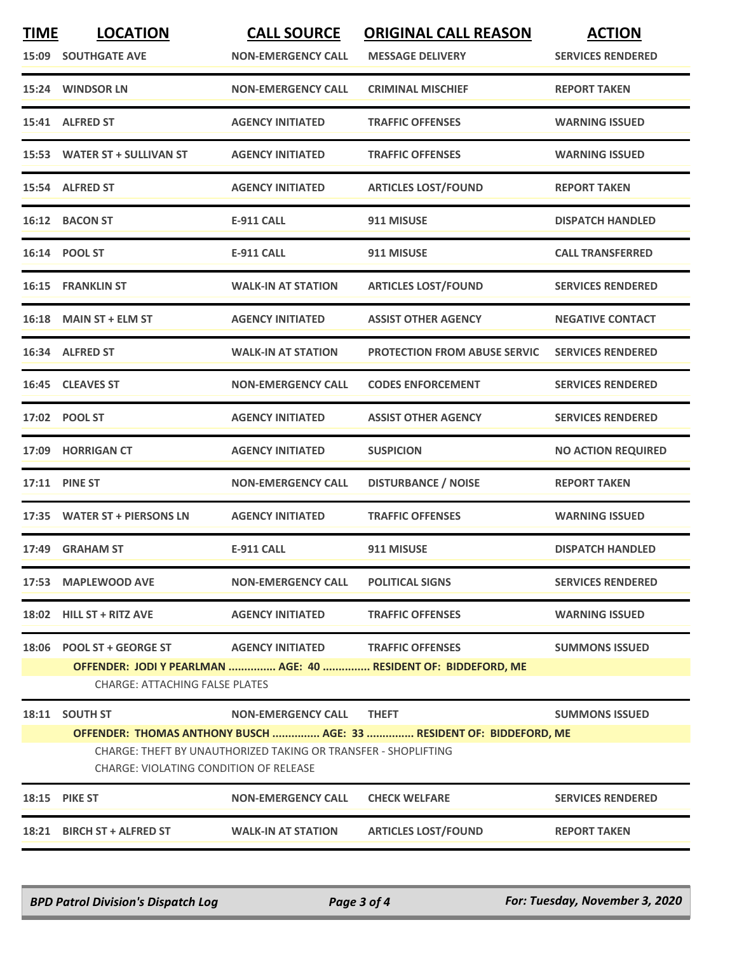| <b>TIME</b><br>15:09 | <b>LOCATION</b><br><b>SOUTHGATE AVE</b>                            | <b>CALL SOURCE</b><br><b>NON-EMERGENCY CALL</b>                | <b>ORIGINAL CALL REASON</b><br><b>MESSAGE DELIVERY</b>                                    | <b>ACTION</b><br><b>SERVICES RENDERED</b> |
|----------------------|--------------------------------------------------------------------|----------------------------------------------------------------|-------------------------------------------------------------------------------------------|-------------------------------------------|
|                      | 15:24 WINDSOR LN                                                   | <b>NON-EMERGENCY CALL</b>                                      | <b>CRIMINAL MISCHIEF</b>                                                                  | <b>REPORT TAKEN</b>                       |
|                      | 15:41 ALFRED ST                                                    | <b>AGENCY INITIATED</b>                                        | <b>TRAFFIC OFFENSES</b>                                                                   | <b>WARNING ISSUED</b>                     |
|                      | 15:53 WATER ST + SULLIVAN ST                                       | <b>AGENCY INITIATED</b>                                        | <b>TRAFFIC OFFENSES</b>                                                                   | <b>WARNING ISSUED</b>                     |
|                      | 15:54 ALFRED ST                                                    | <b>AGENCY INITIATED</b>                                        | <b>ARTICLES LOST/FOUND</b>                                                                | <b>REPORT TAKEN</b>                       |
|                      | 16:12 BACON ST                                                     | <b>E-911 CALL</b>                                              | 911 MISUSE                                                                                | <b>DISPATCH HANDLED</b>                   |
|                      | 16:14 POOL ST                                                      | <b>E-911 CALL</b>                                              | 911 MISUSE                                                                                | <b>CALL TRANSFERRED</b>                   |
|                      | 16:15 FRANKLIN ST                                                  | <b>WALK-IN AT STATION</b>                                      | <b>ARTICLES LOST/FOUND</b>                                                                | <b>SERVICES RENDERED</b>                  |
| 16:18                | <b>MAIN ST + ELM ST</b>                                            | <b>AGENCY INITIATED</b>                                        | <b>ASSIST OTHER AGENCY</b>                                                                | <b>NEGATIVE CONTACT</b>                   |
|                      | 16:34 ALFRED ST                                                    | <b>WALK-IN AT STATION</b>                                      | <b>PROTECTION FROM ABUSE SERVIC</b>                                                       | <b>SERVICES RENDERED</b>                  |
|                      | 16:45 CLEAVES ST                                                   | <b>NON-EMERGENCY CALL</b>                                      | <b>CODES ENFORCEMENT</b>                                                                  | <b>SERVICES RENDERED</b>                  |
|                      | 17:02 POOL ST                                                      | <b>AGENCY INITIATED</b>                                        | <b>ASSIST OTHER AGENCY</b>                                                                | <b>SERVICES RENDERED</b>                  |
|                      | 17:09 HORRIGAN CT                                                  | <b>AGENCY INITIATED</b>                                        | <b>SUSPICION</b>                                                                          | <b>NO ACTION REQUIRED</b>                 |
| 17:11                | <b>PINE ST</b>                                                     | <b>NON-EMERGENCY CALL</b>                                      | <b>DISTURBANCE / NOISE</b>                                                                | <b>REPORT TAKEN</b>                       |
|                      | 17:35 WATER ST + PIERSONS LN                                       | <b>AGENCY INITIATED</b>                                        | <b>TRAFFIC OFFENSES</b>                                                                   | <b>WARNING ISSUED</b>                     |
|                      | 17:49 GRAHAM ST                                                    | <b>E-911 CALL</b>                                              | 911 MISUSE                                                                                | <b>DISPATCH HANDLED</b>                   |
|                      | 17:53 MAPLEWOOD AVE                                                | <b>NON-EMERGENCY CALL</b>                                      | <b>POLITICAL SIGNS</b>                                                                    | <b>SERVICES RENDERED</b>                  |
|                      | 18:02 HILL ST + RITZ AVE                                           | <b>AGENCY INITIATED</b>                                        | <b>TRAFFIC OFFENSES</b>                                                                   | <b>WARNING ISSUED</b>                     |
|                      | 18:06 POOL ST + GEORGE ST<br><b>CHARGE: ATTACHING FALSE PLATES</b> | <b>AGENCY INITIATED</b>                                        | <b>TRAFFIC OFFENSES</b><br>OFFENDER: JODI Y PEARLMAN  AGE: 40  RESIDENT OF: BIDDEFORD, ME | <b>SUMMONS ISSUED</b>                     |
|                      | 18:11 SOUTH ST                                                     | <b>NON-EMERGENCY CALL</b>                                      | <b>THEFT</b>                                                                              | <b>SUMMONS ISSUED</b>                     |
|                      | CHARGE: VIOLATING CONDITION OF RELEASE                             | CHARGE: THEFT BY UNAUTHORIZED TAKING OR TRANSFER - SHOPLIFTING | OFFENDER: THOMAS ANTHONY BUSCH  AGE: 33  RESIDENT OF: BIDDEFORD, ME                       |                                           |
|                      | <b>18:15 PIKE ST</b>                                               | <b>NON-EMERGENCY CALL</b>                                      | <b>CHECK WELFARE</b>                                                                      | <b>SERVICES RENDERED</b>                  |
|                      | 18:21 BIRCH ST + ALFRED ST                                         | <b>WALK-IN AT STATION</b>                                      | <b>ARTICLES LOST/FOUND</b>                                                                | <b>REPORT TAKEN</b>                       |